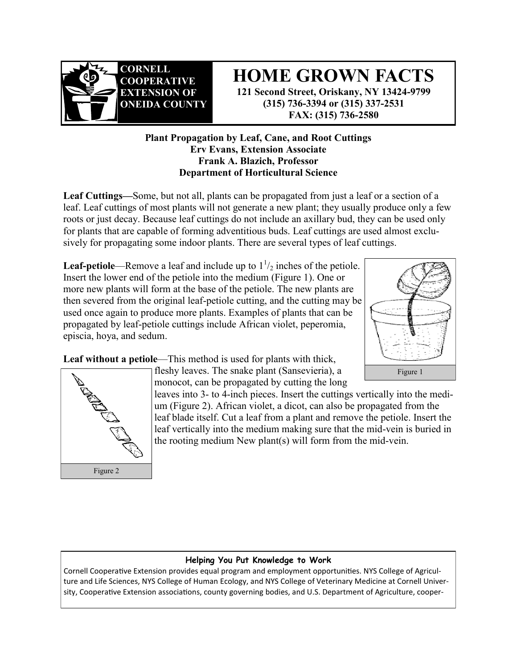

Figure 2

# **HOME GROWN FACTS**

**121 Second Street, Oriskany, NY 13424-9799 (315) 736-3394 or (315) 337-2531 FAX: (315) 736-2580**

## **Plant Propagation by Leaf, Cane, and Root Cuttings Erv Evans, Extension Associate Frank A. Blazich, Professor Department of Horticultural Science**

**Leaf Cuttings—**Some, but not all, plants can be propagated from just a leaf or a section of a leaf. Leaf cuttings of most plants will not generate a new plant; they usually produce only a few roots or just decay. Because leaf cuttings do not include an axillary bud, they can be used only for plants that are capable of forming adventitious buds. Leaf cuttings are used almost exclusively for propagating some indoor plants. There are several types of leaf cuttings.

**Leaf-petiole—Remove a leaf and include up to**  $1\frac{1}{2}$  **inches of the petiole.** Insert the lower end of the petiole into the medium (Figure 1). One or more new plants will form at the base of the petiole. The new plants are then severed from the original leaf-petiole cutting, and the cutting may be used once again to produce more plants. Examples of plants that can be propagated by leaf-petiole cuttings include African violet, peperomia, episcia, hoya, and sedum.



Leaf without a petiole—This method is used for plants with thick, fleshy leaves. The snake plant (Sansevieria), a monocot, can be propagated by cutting the long

leaves into 3- to 4-inch pieces. Insert the cuttings vertically into the medium (Figure 2). African violet, a dicot, can also be propagated from the leaf blade itself. Cut a leaf from a plant and remove the petiole. Insert the leaf vertically into the medium making sure that the mid-vein is buried in the rooting medium New plant(s) will form from the mid-vein.

### **Helping You Put Knowledge to Work**

Cornell Cooperative Extension provides equal program and employment opportunities. NYS College of Agriculture and Life Sciences, NYS College of Human Ecology, and NYS College of Veterinary Medicine at Cornell University, Cooperative Extension associations, county governing bodies, and U.S. Department of Agriculture, cooper-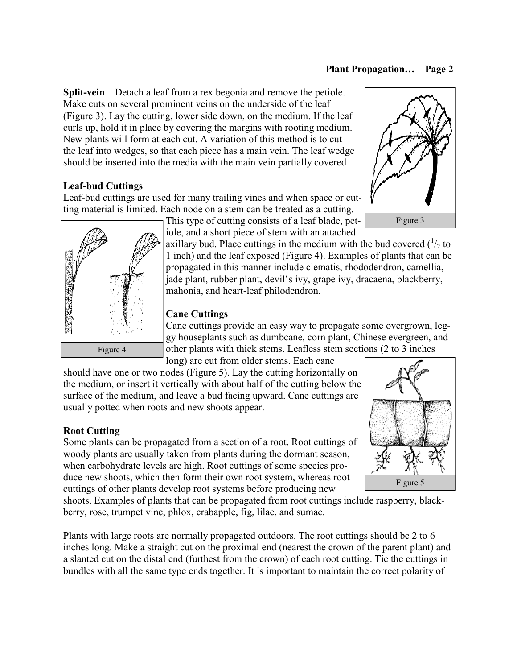#### **Plant Propagation…—Page 2**

**Split-vein**—Detach a leaf from a rex begonia and remove the petiole. Make cuts on several prominent veins on the underside of the leaf (Figure 3). Lay the cutting, lower side down, on the medium. If the leaf curls up, hold it in place by covering the margins with rooting medium. New plants will form at each cut. A variation of this method is to cut the leaf into wedges, so that each piece has a main vein. The leaf wedge should be inserted into the media with the main vein partially covered

## **Leaf-bud Cuttings**

Leaf-bud cuttings are used for many trailing vines and when space or cutting material is limited. Each node on a stem can be treated as a cutting.





This type of cutting consists of a leaf blade, petiole, and a short piece of stem with an attached

axillary bud. Place cuttings in the medium with the bud covered  $\binom{1}{2}$  to 1 inch) and the leaf exposed (Figure 4). Examples of plants that can be propagated in this manner include clematis, rhododendron, camellia, jade plant, rubber plant, devil's ivy, grape ivy, dracaena, blackberry, mahonia, and heart-leaf philodendron.

#### **Cane Cuttings**

Cane cuttings provide an easy way to propagate some overgrown, leggy houseplants such as dumbcane, corn plant, Chinese evergreen, and other plants with thick stems. Leafless stem sections (2 to 3 inches long) are cut from older stems. Each cane

should have one or two nodes (Figure 5). Lay the cutting horizontally on the medium, or insert it vertically with about half of the cutting below the surface of the medium, and leave a bud facing upward. Cane cuttings are usually potted when roots and new shoots appear.

#### **Root Cutting**

Some plants can be propagated from a section of a root. Root cuttings of woody plants are usually taken from plants during the dormant season, when carbohydrate levels are high. Root cuttings of some species produce new shoots, which then form their own root system, whereas root cuttings of other plants develop root systems before producing new

shoots. Examples of plants that can be propagated from root cuttings include raspberry, blackberry, rose, trumpet vine, phlox, crabapple, fig, lilac, and sumac.

Plants with large roots are normally propagated outdoors. The root cuttings should be 2 to 6 inches long. Make a straight cut on the proximal end (nearest the crown of the parent plant) and a slanted cut on the distal end (furthest from the crown) of each root cutting. Tie the cuttings in bundles with all the same type ends together. It is important to maintain the correct polarity of